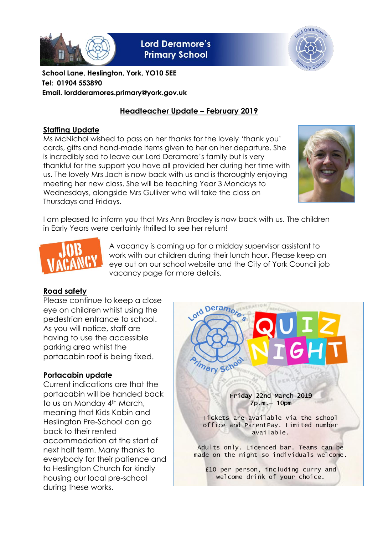

**Lord Deramore's Primary School** 



**School Lane, Heslington, York, YO10 5EE Tel: 01904 553890 Email. lordderamores.primary@york.gov.uk**

### **Headteacher Update – February 2019**

#### **Staffing Update**

Ms McNichol wished to pass on her thanks for the lovely 'thank you' cards, gifts and hand-made items given to her on her departure. She is incredibly sad to leave our Lord Deramore's family but is very thankful for the support you have all provided her during her time with us. The lovely Mrs Jach is now back with us and is thoroughly enjoying meeting her new class. She will be teaching Year 3 Mondays to Wednesdays, alongside Mrs Gulliver who will take the class on Thursdays and Fridays.



I am pleased to inform you that Mrs Ann Bradley is now back with us. The children in Early Years were certainly thrilled to see her return!



A vacancy is coming up for a midday supervisor assistant to work with our children during their lunch hour. Please keep an eye out on our school website and the City of York Council job vacancy page for more details.

#### **Road safety**

Please continue to keep a close eye on children whilst using the pedestrian entrance to school. As you will notice, staff are having to use the accessible parking area whilst the portacabin roof is being fixed.

#### **Portacabin update**

Current indications are that the portacabin will be handed back to us on Monday 4<sup>th</sup> March, meaning that Kids Kabin and Heslington Pre-School can go back to their rented accommodation at the start of next half term. Many thanks to everybody for their patience and to Heslington Church for kindly housing our local pre-school during these works.